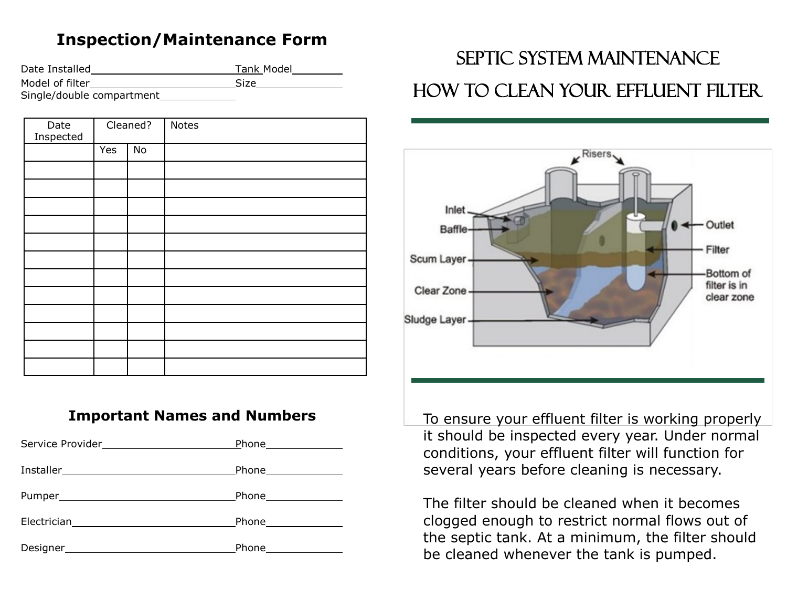## **Inspection/Maintenance Form**

| Date Installed            | Tank Model  |
|---------------------------|-------------|
| Model of filter           | <b>Size</b> |
| Single/double compartment |             |

| Date<br>Inspected | Cleaned? |    | <b>Notes</b> |
|-------------------|----------|----|--------------|
|                   | Yes      | No |              |
|                   |          |    |              |
|                   |          |    |              |
|                   |          |    |              |
|                   |          |    |              |
|                   |          |    |              |
|                   |          |    |              |
|                   |          |    |              |
|                   |          |    |              |
|                   |          |    |              |
|                   |          |    |              |
|                   |          |    |              |
|                   |          |    |              |

## **Important Names and Numbers**

| Phone_______________ |
|----------------------|
| Phone_______________ |
| Phone_______________ |
|                      |
| Phone_______________ |

## Septic System Maintenance How to clean your effluent filter



To ensure your effluent filter is working properly it should be inspected every year. Under normal conditions, your effluent filter will function for several years before cleaning is necessary.

The filter should be cleaned when it becomes clogged enough to restrict normal flows out of the septic tank. At a minimum, the filter should be cleaned whenever the tank is pumped.